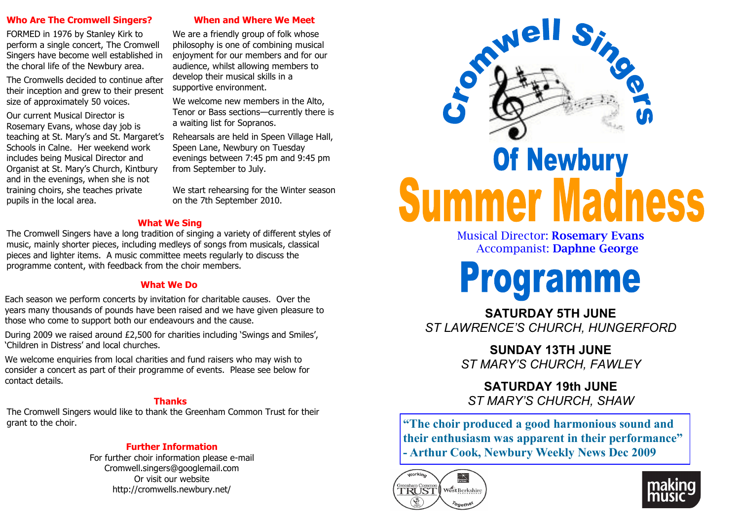#### **Who Are The Cromwell Singers?**

FORMED in 1976 by Stanley Kirk to perform a single concert, The Cromwell Singers have become well established in the choral life of the Newbury area.

The Cromwells decided to continue after their inception and grew to their present size of approximately 50 voices.

Our current Musical Director is Rosemary Evans, whose day job is teaching at St. Mary's and St. Margaret's Schools in Calne. Her weekend work includes being Musical Director and Organist at St. Mary's Church, Kintbury and in the evenings, when she is not training choirs, she teaches private pupils in the local area.

**When and Where We Meet**

We are a friendly group of folk whose philosophy is one of combining musical enjoyment for our members and for our audience, whilst allowing members to develop their musical skills in a supportive environment.

We welcome new members in the Alto, Tenor or Bass sections—currently there is a waiting list for Sopranos.

Rehearsals are held in Speen Village Hall, Speen Lane, Newbury on Tuesday evenings between 7:45 pm and 9:45 pm from September to July.

We start rehearsing for the Winter season on the 7th September 2010.

### **What We Sing**

The Cromwell Singers have a long tradition of singing a variety of different styles of music, mainly shorter pieces, including medleys of songs from musicals, classical pieces and lighter items. A music committee meets regularly to discuss the programme content, with feedback from the choir members.

### **What We Do**

Each season we perform concerts by invitation for charitable causes. Over the years many thousands of pounds have been raised and we have given pleasure to those who come to support both our endeavours and the cause.

During 2009 we raised around £2,500 for charities including 'Swings and Smiles', 'Children in Distress' and local churches.

We welcome enquiries from local charities and fund raisers who may wish to consider a concert as part of their programme of events. Please see below for contact details.

### **Thanks**

The Cromwell Singers would like to thank the Greenham Common Trust for their grant to the choir.

### **Further Information**

For further choir information please e-mail Cromwell.singers@googlemail.com Or visit our website http://cromwells.newbury.net/



Musical Director: **Rosemary Evans** Accompanist: **Daphne George**



**SATURDAY 5TH JUNE** *ST LAWRENCE'S CHURCH, HUNGERFORD*

> **SUNDAY 13TH JUNE** *ST MARY'S CHURCH, FAWLEY*

**SATURDAY 19th JUNE** *ST MARY'S CHURCH, SHAW*

**"The choir produced a good harmonious sound and their enthusiasm was apparent in their performance" - Arthur Cook, Newbury Weekly News Dec 2009**